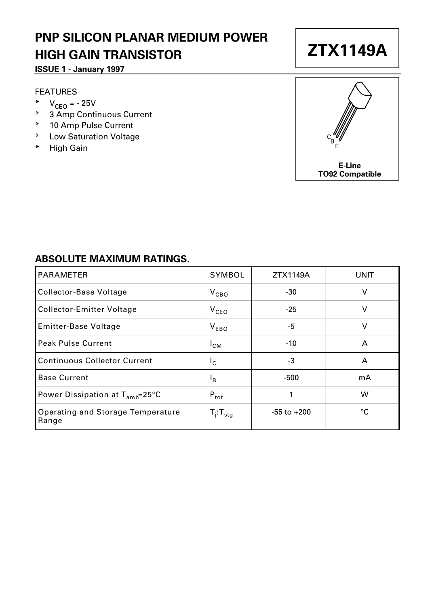## **PNP SILICON PLANAR MEDIUM POWER HIGH GAIN TRANSISTOR**

### **ISSUE 1 - January 1997**

#### FEATURES

- \*  $V_{CEO} = -25V$
- \* 3 Amp Continuous Current
- \* 10 Amp Pulse Current
- \* Low Saturation Voltage
- \* High Gain



### **ABSOLUTE MAXIMUM RATINGS.**

| <b>PARAMETER</b>                             | SYMBOL                    | ZTX1149A        | UNIT |
|----------------------------------------------|---------------------------|-----------------|------|
| Collector-Base Voltage                       | $V_{\text{CBO}}$          | -30             | v    |
| Collector-Emitter Voltage                    | $V_{\texttt{CEO}}$        | $-25$           | v    |
| Emitter-Base Voltage                         | $V_{EBO}$                 | -5              | v    |
| Peak Pulse Current                           | 'CM                       | $-10$           | A    |
| <b>Continuous Collector Current</b>          | I <sub>C</sub>            | -3              | A    |
| <b>Base Current</b>                          | $\mathsf{I}_{\mathsf{B}}$ | -500            | mA   |
| Power Dissipation at $T_{amb} = 25^{\circ}C$ | $P_{\text{tot}}$          | 1               | W    |
| Operating and Storage Temperature<br>Range   | $T_i$ : $T_{\text{stg}}$  | $-55$ to $+200$ | °C   |

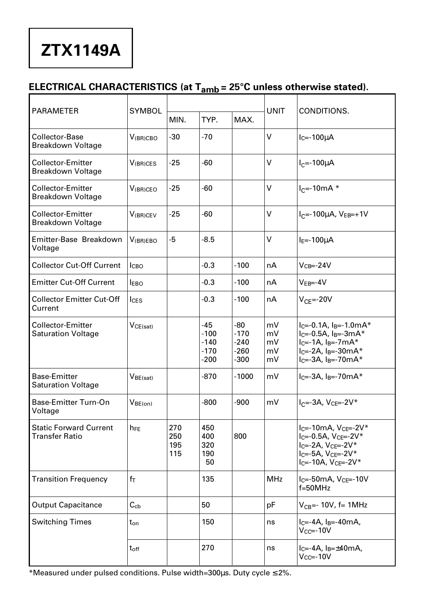# **ZTX1149A**

### **ELECTRICAL CHARACTERISTICS (at Tamb = 25°C unless otherwise stated).**

| <b>PARAMETER</b>                                 | <b>SYMBOL</b>         |                          |                                             | <b>UNIT</b>                                 | CONDITIONS.                |                                                                                                                                                                                                    |
|--------------------------------------------------|-----------------------|--------------------------|---------------------------------------------|---------------------------------------------|----------------------------|----------------------------------------------------------------------------------------------------------------------------------------------------------------------------------------------------|
|                                                  |                       | MIN.                     | TYP.                                        | MAX.                                        |                            |                                                                                                                                                                                                    |
| Collector-Base<br>Breakdown Voltage              | $V_{(BR)CBO}$         | $-30$                    | $-70$                                       |                                             | V                          | $I_C = -100 \mu A$                                                                                                                                                                                 |
| Collector-Emitter<br>Breakdown Voltage           | V <sub>(BR)</sub> CES | $-25$                    | -60                                         |                                             | V                          | $I_C = -100 \mu A$                                                                                                                                                                                 |
| Collector-Emitter<br>Breakdown Voltage           | $V_{(BR)CEO}$         | $-25$                    | -60                                         |                                             | V                          | $I_C = -10mA$ *                                                                                                                                                                                    |
| Collector-Emitter<br><b>Breakdown Voltage</b>    | V <sub>(BR)CEV</sub>  | $-25$                    | -60                                         |                                             | V                          | $I_C = -100 \mu A$ , $V_{EB} = +1V$                                                                                                                                                                |
| Emitter-Base Breakdown<br>Voltage                | V(BR)EBO              | -5                       | -8.5                                        |                                             | v                          | $IE=-100UA$                                                                                                                                                                                        |
| <b>Collector Cut-Off Current</b>                 | <b>I</b> CBO          |                          | $-0.3$                                      | $-100$                                      | nA                         | $V_{CB} = -24V$                                                                                                                                                                                    |
| <b>Emitter Cut-Off Current</b>                   | <b>IEBO</b>           |                          | $-0.3$                                      | $-100$                                      | nA                         | $VEB=-4V$                                                                                                                                                                                          |
| <b>Collector Emitter Cut-Off</b><br>Current      | $l$ <sub>CES</sub>    |                          | $-0.3$                                      | $-100$                                      | nА                         | $V_{CF} = -20V$                                                                                                                                                                                    |
| Collector-Emitter<br><b>Saturation Voltage</b>   | VCE(sat)              |                          | -45<br>$-100$<br>$-140$<br>$-170$<br>$-200$ | -80<br>$-170$<br>$-240$<br>$-260$<br>$-300$ | mV<br>mV<br>mV<br>mV<br>m٧ | $I_{C} = -0.1A$ , $I_{B} = -1.0mA*$<br>$I_{C} = -0.5A$ , $I_{B} = -3mA*$<br>$I_C = -1A$ , $I_B = -7mA*$<br>$I_C = -2A$ , $I_B = -30mA*$<br>$lc = -3A$ , $lg = -70mA*$                              |
| <b>Base-Emitter</b><br><b>Saturation Voltage</b> | $V_{BE(sat)}$         |                          | $-870$                                      | $-1000$                                     | mV                         | $I_C = -3A$ , $I_B = -70mA*$                                                                                                                                                                       |
| Base-Emitter Turn-On<br>Voltage                  | V <sub>BE(on)</sub>   |                          | $-800$                                      | $-900$                                      | mV                         | $I_{C} = -3A$ , $V_{CE} = -2V^*$                                                                                                                                                                   |
| <b>Static Forward Current</b><br>Transfer Ratio  | h <sub>FF</sub>       | 270<br>250<br>195<br>115 | 450<br>400<br>320<br>190<br>50              | 800                                         |                            | l <sub>C</sub> =-10mA, V <sub>CE</sub> =-2V*<br>I <sub>C</sub> =-0.5A, V <sub>CE</sub> =-2V*<br>$I_C = -2A$ , $V_{CE} = -2V^*$<br>$I_C = -5A$ , $V_{CE} = -2V^*$<br>$I_C = -10A$ , $V_{C} = -2V^*$ |
| <b>Transition Frequency</b>                      | fт                    |                          | 135                                         |                                             | <b>MHz</b>                 | $I_C = -50mA, V_{CE} = -10V$<br>$f=50MHz$                                                                                                                                                          |
| <b>Output Capacitance</b>                        | $C_{cb}$              |                          | 50                                          |                                             | pF                         | $V_{CB}$ =- 10V, f= 1MHz                                                                                                                                                                           |
| <b>Switching Times</b>                           | $t_{on}$              |                          | 150                                         |                                             | ns                         | $I_C = -4A$ , $I_B = -40mA$ ,<br>$V_{CC} = -10V$                                                                                                                                                   |
|                                                  | $t_{\rm off}$         |                          | 270                                         |                                             | ns                         | $I_C = -4A$ , $I_B = \pm 40mA$ ,<br>$V_{CC} = -10V$                                                                                                                                                |

\*Measured under pulsed conditions. Pulse width=300µs. Duty cycle ≤ 2%.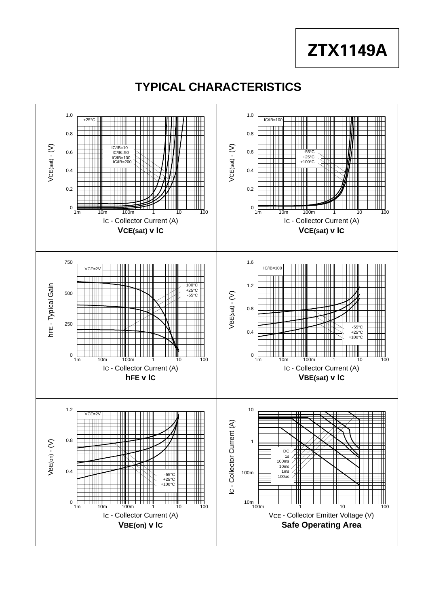**ZTX1149A**

## **TYPICAL CHARACTERISTICS**